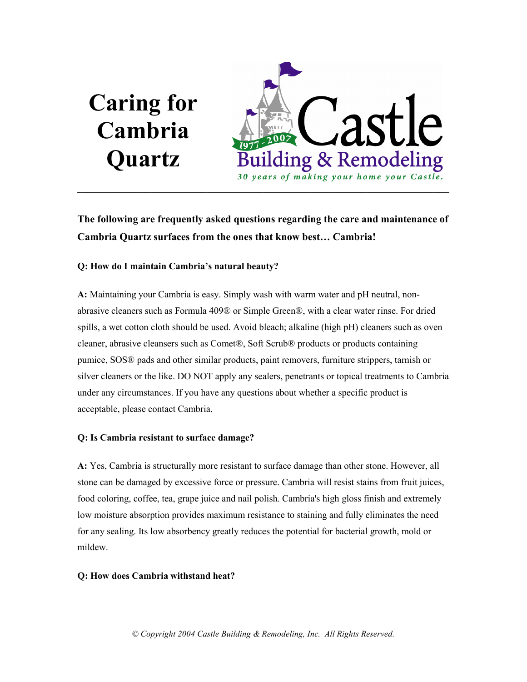# Caring for Cambria **Quartz**



The following are frequently asked questions regarding the care and maintenance of Cambria Quartz surfaces from the ones that know best… Cambria!

# Q: How do I maintain Cambria's natural beauty?

A: Maintaining your Cambria is easy. Simply wash with warm water and pH neutral, nonabrasive cleaners such as Formula 409® or Simple Green®, with a clear water rinse. For dried spills, a wet cotton cloth should be used. Avoid bleach; alkaline (high pH) cleaners such as oven cleaner, abrasive cleansers such as Comet®, Soft Scrub® products or products containing pumice, SOS® pads and other similar products, paint removers, furniture strippers, tarnish or silver cleaners or the like. DO NOT apply any sealers, penetrants or topical treatments to Cambria under any circumstances. If you have any questions about whether a specific product is acceptable, please contact Cambria.

# Q: Is Cambria resistant to surface damage?

A: Yes, Cambria is structurally more resistant to surface damage than other stone. However, all stone can be damaged by excessive force or pressure. Cambria will resist stains from fruit juices, food coloring, coffee, tea, grape juice and nail polish. Cambria's high gloss finish and extremely low moisture absorption provides maximum resistance to staining and fully eliminates the need for any sealing. Its low absorbency greatly reduces the potential for bacterial growth, mold or mildew.

# Q: How does Cambria withstand heat?